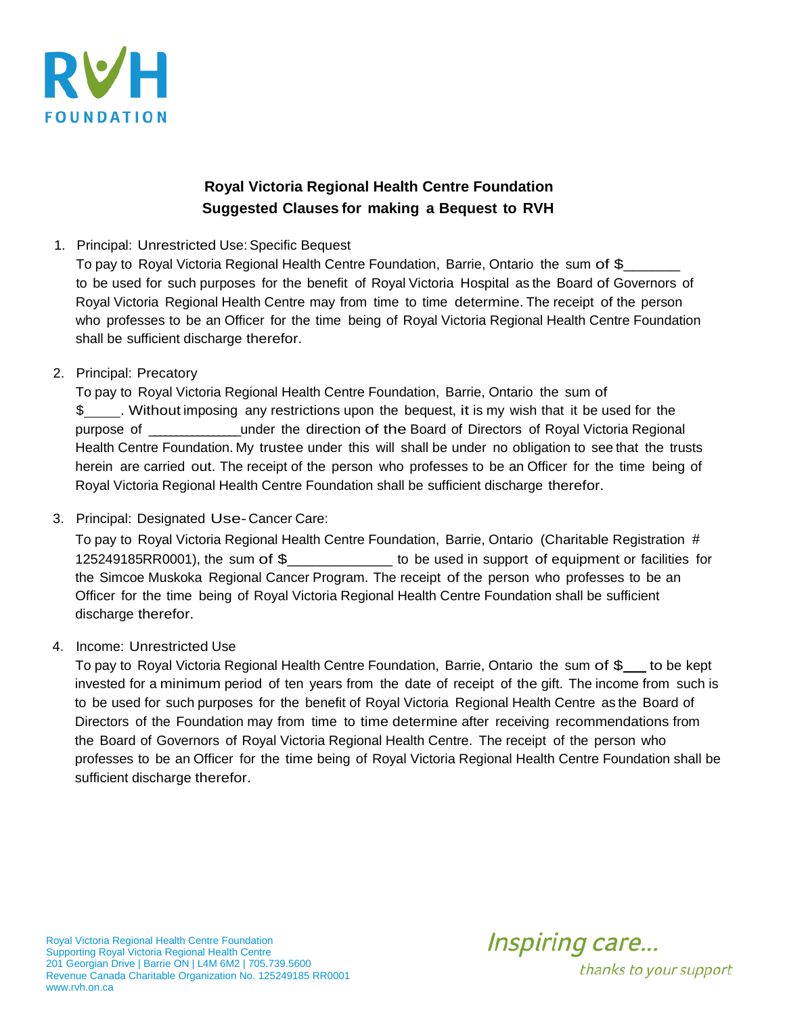

## **Royal Victoria Regional Health Centre Foundation Suggested Clauses for making a Bequest to RVH**

1. Principal: Unrestricted Use: Specific Bequest

To pay to Royal Victoria Regional Health Centre Foundation, Barrie, Ontario the sum of \$ to be used for such purposes for the benefit of Royal Victoria Hospital as the Board of Governors of Royal Victoria Regional Health Centre may from time to time determine. The receipt of the person who professes to be an Officer for the time being of Royal Victoria Regional Health Centre Foundation shall be sufficient discharge therefor.

2. Principal: Precatory

To pay to Royal Victoria Regional Health Centre Foundation, Barrie, Ontario the sum of \$ . Without imposing any restrictions upon the bequest, it is my wish that it be used for the purpose of \_\_\_\_\_\_\_\_\_\_\_\_\_\_\_\_\_ under the direction of the Board of Directors of Royal Victoria Regional Health Centre Foundation. My trustee under this will shall be under no obligation to see that the trusts herein are carried out. The receipt of the person who professes to be an Officer for the time being of Royal Victoria Regional Health Centre Foundation shall be sufficient discharge therefor.

3. Principal: Designated Use-Cancer Care:

To pay to Royal Victoria Regional Health Centre Foundation, Barrie, Ontario (Charitable Registration # 125249185RR0001), the sum of \$\_\_\_\_\_\_\_\_\_\_\_ to be used in support of equipment or facilities for the Simcoe Muskoka Regional Cancer Program. The receipt of the person who professes to be an Officer for the time being of Royal Victoria Regional Health Centre Foundation shall be sufficient discharge therefor.

4. Income: Unrestricted Use

To pay to Royal Victoria Regional Health Centre Foundation, Barrie, Ontario the sum of \$ to be kept invested for a minimum period of ten years from the date of receipt of the gift. The income from such is to be used for such purposes for the benefit of Royal Victoria Regional Health Centre as the Board of Directors of the Foundation may from time to time determine after receiving recommendations from the Board of Governors of Royal Victoria Regional Health Centre. The receipt of the person who professes to be an Officer for the time being of Royal Victoria Regional Health Centre Foundation shall be sufficient discharge therefor.